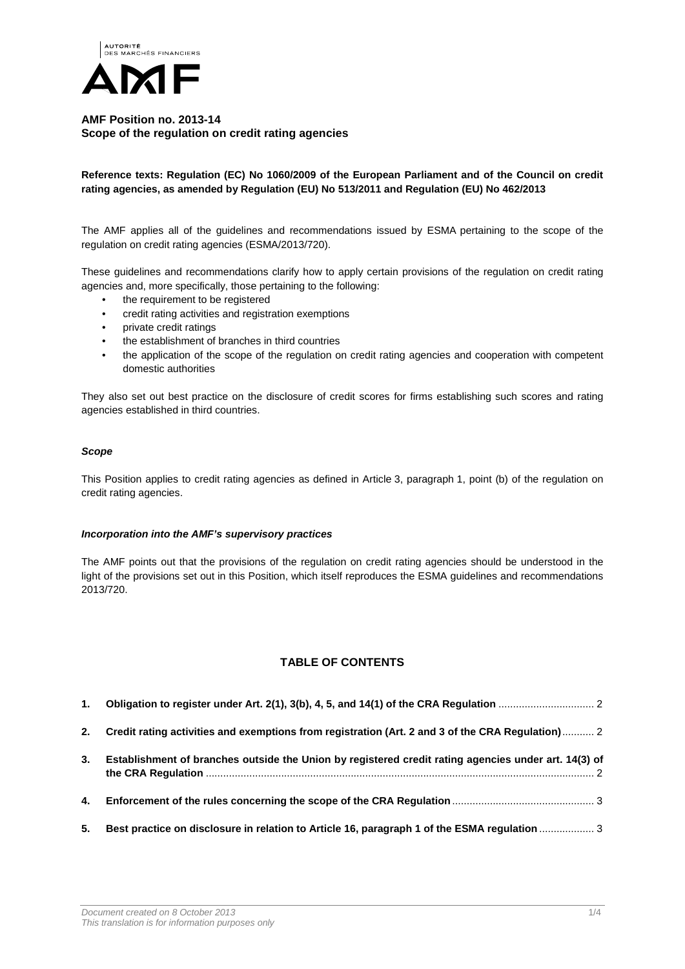

## **AMF Position no. 2013-14 Scope of the regulation on credit rating agencies**

## **Reference texts: Regulation (EC) No 1060/2009 of the European Parliament and of the Council on credit rating agencies, as amended by Regulation (EU) No 513/2011 and Regulation (EU) No 462/2013**

The AMF applies all of the guidelines and recommendations issued by ESMA pertaining to the scope of the regulation on credit rating agencies (ESMA/2013/720).

These guidelines and recommendations clarify how to apply certain provisions of the regulation on credit rating agencies and, more specifically, those pertaining to the following:

- the requirement to be registered
- credit rating activities and registration exemptions
- private credit ratings
- the establishment of branches in third countries
- the application of the scope of the regulation on credit rating agencies and cooperation with competent domestic authorities

They also set out best practice on the disclosure of credit scores for firms establishing such scores and rating agencies established in third countries.

#### *Scope*

This Position applies to credit rating agencies as defined in Article 3, paragraph 1, point (b) of the regulation on credit rating agencies.

#### *Incorporation into the AMF's supervisory practices*

The AMF points out that the provisions of the regulation on credit rating agencies should be understood in the light of the provisions set out in this Position, which itself reproduces the ESMA guidelines and recommendations 2013/720.

# **TABLE OF CONTENTS**

| 1. |                                                                                                      |
|----|------------------------------------------------------------------------------------------------------|
| 2. | Credit rating activities and exemptions from registration (Art. 2 and 3 of the CRA Regulation) 2     |
| 3. | Establishment of branches outside the Union by registered credit rating agencies under art. 14(3) of |
| 4. |                                                                                                      |
| 5. | Best practice on disclosure in relation to Article 16, paragraph 1 of the ESMA regulation  3         |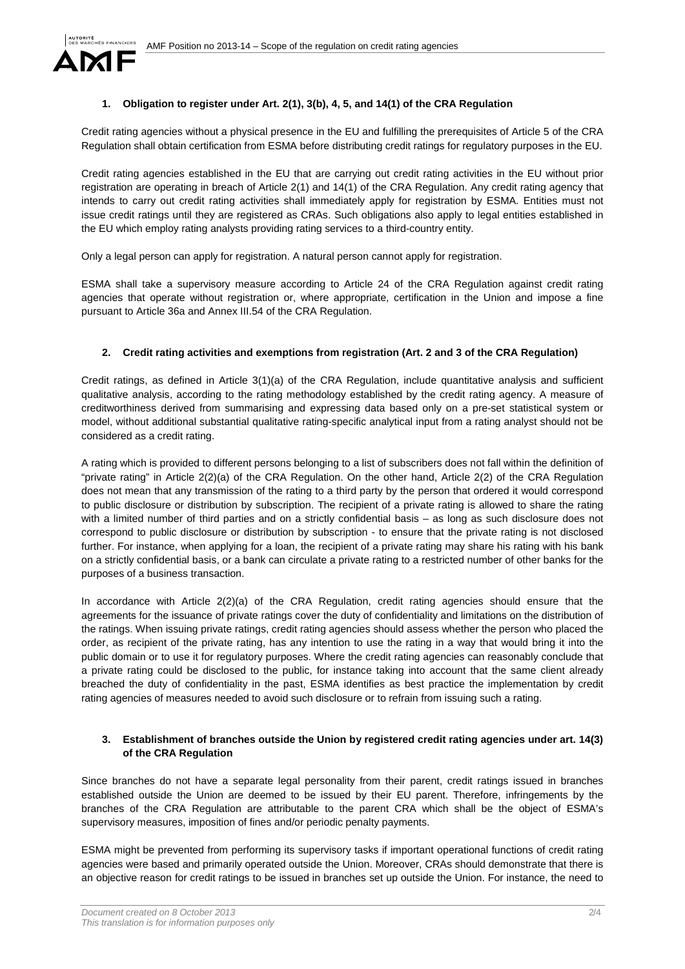

## <span id="page-1-0"></span>**1. Obligation to register under Art. 2(1), 3(b), 4, 5, and 14(1) of the CRA Regulation**

Credit rating agencies without a physical presence in the EU and fulfilling the prerequisites of Article 5 of the CRA Regulation shall obtain certification from ESMA before distributing credit ratings for regulatory purposes in the EU.

Credit rating agencies established in the EU that are carrying out credit rating activities in the EU without prior registration are operating in breach of Article 2(1) and 14(1) of the CRA Regulation. Any credit rating agency that intends to carry out credit rating activities shall immediately apply for registration by ESMA. Entities must not issue credit ratings until they are registered as CRAs. Such obligations also apply to legal entities established in the EU which employ rating analysts providing rating services to a third-country entity.

Only a legal person can apply for registration. A natural person cannot apply for registration.

ESMA shall take a supervisory measure according to Article 24 of the CRA Regulation against credit rating agencies that operate without registration or, where appropriate, certification in the Union and impose a fine pursuant to Article 36a and Annex III.54 of the CRA Regulation.

### <span id="page-1-1"></span>**2. Credit rating activities and exemptions from registration (Art. 2 and 3 of the CRA Regulation)**

Credit ratings, as defined in Article 3(1)(a) of the CRA Regulation, include quantitative analysis and sufficient qualitative analysis, according to the rating methodology established by the credit rating agency. A measure of creditworthiness derived from summarising and expressing data based only on a pre-set statistical system or model, without additional substantial qualitative rating-specific analytical input from a rating analyst should not be considered as a credit rating.

A rating which is provided to different persons belonging to a list of subscribers does not fall within the definition of "private rating" in Article 2(2)(a) of the CRA Regulation. On the other hand, Article 2(2) of the CRA Regulation does not mean that any transmission of the rating to a third party by the person that ordered it would correspond to public disclosure or distribution by subscription. The recipient of a private rating is allowed to share the rating with a limited number of third parties and on a strictly confidential basis – as long as such disclosure does not correspond to public disclosure or distribution by subscription - to ensure that the private rating is not disclosed further. For instance, when applying for a loan, the recipient of a private rating may share his rating with his bank on a strictly confidential basis, or a bank can circulate a private rating to a restricted number of other banks for the purposes of a business transaction.

In accordance with Article 2(2)(a) of the CRA Regulation, credit rating agencies should ensure that the agreements for the issuance of private ratings cover the duty of confidentiality and limitations on the distribution of the ratings. When issuing private ratings, credit rating agencies should assess whether the person who placed the order, as recipient of the private rating, has any intention to use the rating in a way that would bring it into the public domain or to use it for regulatory purposes. Where the credit rating agencies can reasonably conclude that a private rating could be disclosed to the public, for instance taking into account that the same client already breached the duty of confidentiality in the past, ESMA identifies as best practice the implementation by credit rating agencies of measures needed to avoid such disclosure or to refrain from issuing such a rating.

#### <span id="page-1-2"></span>**3. Establishment of branches outside the Union by registered credit rating agencies under art. 14(3) of the CRA Regulation**

Since branches do not have a separate legal personality from their parent, credit ratings issued in branches established outside the Union are deemed to be issued by their EU parent. Therefore, infringements by the branches of the CRA Regulation are attributable to the parent CRA which shall be the object of ESMA's supervisory measures, imposition of fines and/or periodic penalty payments.

ESMA might be prevented from performing its supervisory tasks if important operational functions of credit rating agencies were based and primarily operated outside the Union. Moreover, CRAs should demonstrate that there is an objective reason for credit ratings to be issued in branches set up outside the Union. For instance, the need to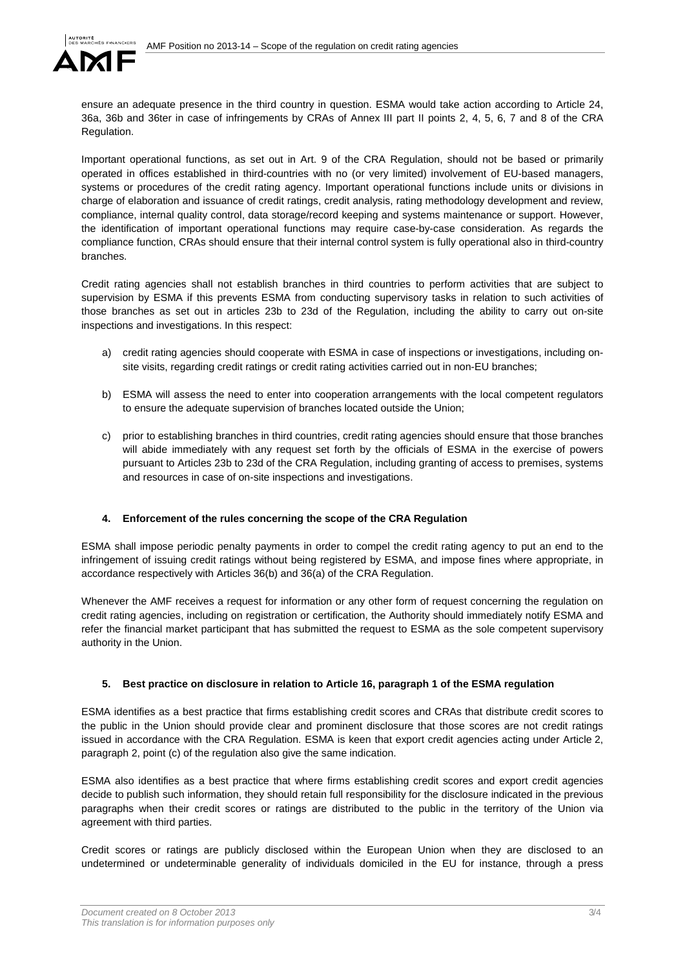

ensure an adequate presence in the third country in question. ESMA would take action according to Article 24, 36a, 36b and 36ter in case of infringements by CRAs of Annex III part II points 2, 4, 5, 6, 7 and 8 of the CRA Regulation.

Important operational functions, as set out in Art. 9 of the CRA Regulation, should not be based or primarily operated in offices established in third-countries with no (or very limited) involvement of EU-based managers, systems or procedures of the credit rating agency. Important operational functions include units or divisions in charge of elaboration and issuance of credit ratings, credit analysis, rating methodology development and review, compliance, internal quality control, data storage/record keeping and systems maintenance or support. However, the identification of important operational functions may require case-by-case consideration. As regards the compliance function, CRAs should ensure that their internal control system is fully operational also in third-country branches.

Credit rating agencies shall not establish branches in third countries to perform activities that are subject to supervision by ESMA if this prevents ESMA from conducting supervisory tasks in relation to such activities of those branches as set out in articles 23b to 23d of the Regulation, including the ability to carry out on-site inspections and investigations. In this respect:

- a) credit rating agencies should cooperate with ESMA in case of inspections or investigations, including onsite visits, regarding credit ratings or credit rating activities carried out in non-EU branches;
- b) ESMA will assess the need to enter into cooperation arrangements with the local competent regulators to ensure the adequate supervision of branches located outside the Union;
- c) prior to establishing branches in third countries, credit rating agencies should ensure that those branches will abide immediately with any request set forth by the officials of ESMA in the exercise of powers pursuant to Articles 23b to 23d of the CRA Regulation, including granting of access to premises, systems and resources in case of on-site inspections and investigations.

### <span id="page-2-0"></span>**4. Enforcement of the rules concerning the scope of the CRA Regulation**

ESMA shall impose periodic penalty payments in order to compel the credit rating agency to put an end to the infringement of issuing credit ratings without being registered by ESMA, and impose fines where appropriate, in accordance respectively with Articles 36(b) and 36(a) of the CRA Regulation.

Whenever the AMF receives a request for information or any other form of request concerning the regulation on credit rating agencies, including on registration or certification, the Authority should immediately notify ESMA and refer the financial market participant that has submitted the request to ESMA as the sole competent supervisory authority in the Union.

#### <span id="page-2-1"></span>**5. Best practice on disclosure in relation to Article 16, paragraph 1 of the ESMA regulation**

ESMA identifies as a best practice that firms establishing credit scores and CRAs that distribute credit scores to the public in the Union should provide clear and prominent disclosure that those scores are not credit ratings issued in accordance with the CRA Regulation. ESMA is keen that export credit agencies acting under Article 2, paragraph 2, point (c) of the regulation also give the same indication.

ESMA also identifies as a best practice that where firms establishing credit scores and export credit agencies decide to publish such information, they should retain full responsibility for the disclosure indicated in the previous paragraphs when their credit scores or ratings are distributed to the public in the territory of the Union via agreement with third parties.

Credit scores or ratings are publicly disclosed within the European Union when they are disclosed to an undetermined or undeterminable generality of individuals domiciled in the EU for instance, through a press